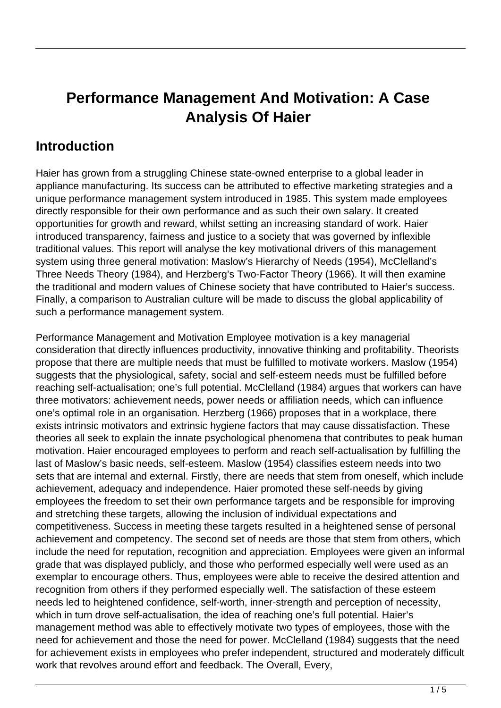# **Performance Management And Motivation: A Case Analysis Of Haier**

#### **Introduction**

Haier has grown from a struggling Chinese state-owned enterprise to a global leader in appliance manufacturing. Its success can be attributed to effective marketing strategies and a unique performance management system introduced in 1985. This system made employees directly responsible for their own performance and as such their own salary. It created opportunities for growth and reward, whilst setting an increasing standard of work. Haier introduced transparency, fairness and justice to a society that was governed by inflexible traditional values. This report will analyse the key motivational drivers of this management system using three general motivation: Maslow's Hierarchy of Needs (1954), McClelland's Three Needs Theory (1984), and Herzberg's Two-Factor Theory (1966). It will then examine the traditional and modern values of Chinese society that have contributed to Haier's success. Finally, a comparison to Australian culture will be made to discuss the global applicability of such a performance management system.

Performance Management and Motivation Employee motivation is a key managerial consideration that directly influences productivity, innovative thinking and profitability. Theorists propose that there are multiple needs that must be fulfilled to motivate workers. Maslow (1954) suggests that the physiological, safety, social and self-esteem needs must be fulfilled before reaching self-actualisation; one's full potential. McClelland (1984) argues that workers can have three motivators: achievement needs, power needs or affiliation needs, which can influence one's optimal role in an organisation. Herzberg (1966) proposes that in a workplace, there exists intrinsic motivators and extrinsic hygiene factors that may cause dissatisfaction. These theories all seek to explain the innate psychological phenomena that contributes to peak human motivation. Haier encouraged employees to perform and reach self-actualisation by fulfilling the last of Maslow's basic needs, self-esteem. Maslow (1954) classifies esteem needs into two sets that are internal and external. Firstly, there are needs that stem from oneself, which include achievement, adequacy and independence. Haier promoted these self-needs by giving employees the freedom to set their own performance targets and be responsible for improving and stretching these targets, allowing the inclusion of individual expectations and competitiveness. Success in meeting these targets resulted in a heightened sense of personal achievement and competency. The second set of needs are those that stem from others, which include the need for reputation, recognition and appreciation. Employees were given an informal grade that was displayed publicly, and those who performed especially well were used as an exemplar to encourage others. Thus, employees were able to receive the desired attention and recognition from others if they performed especially well. The satisfaction of these esteem needs led to heightened confidence, self-worth, inner-strength and perception of necessity, which in turn drove self-actualisation, the idea of reaching one's full potential. Haier's management method was able to effectively motivate two types of employees, those with the need for achievement and those the need for power. McClelland (1984) suggests that the need for achievement exists in employees who prefer independent, structured and moderately difficult work that revolves around effort and feedback. The Overall, Every,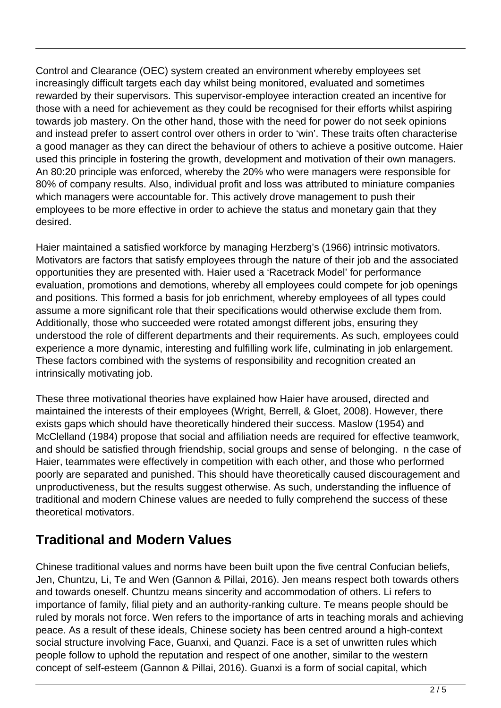Control and Clearance (OEC) system created an environment whereby employees set increasingly difficult targets each day whilst being monitored, evaluated and sometimes rewarded by their supervisors. This supervisor-employee interaction created an incentive for those with a need for achievement as they could be recognised for their efforts whilst aspiring towards job mastery. On the other hand, those with the need for power do not seek opinions and instead prefer to assert control over others in order to 'win'. These traits often characterise a good manager as they can direct the behaviour of others to achieve a positive outcome. Haier used this principle in fostering the growth, development and motivation of their own managers. An 80:20 principle was enforced, whereby the 20% who were managers were responsible for 80% of company results. Also, individual profit and loss was attributed to miniature companies which managers were accountable for. This actively drove management to push their employees to be more effective in order to achieve the status and monetary gain that they desired.

Haier maintained a satisfied workforce by managing Herzberg's (1966) intrinsic motivators. Motivators are factors that satisfy employees through the nature of their job and the associated opportunities they are presented with. Haier used a 'Racetrack Model' for performance evaluation, promotions and demotions, whereby all employees could compete for job openings and positions. This formed a basis for job enrichment, whereby employees of all types could assume a more significant role that their specifications would otherwise exclude them from. Additionally, those who succeeded were rotated amongst different jobs, ensuring they understood the role of different departments and their requirements. As such, employees could experience a more dynamic, interesting and fulfilling work life, culminating in job enlargement. These factors combined with the systems of responsibility and recognition created an intrinsically motivating job.

These three motivational theories have explained how Haier have aroused, directed and maintained the interests of their employees (Wright, Berrell, & Gloet, 2008). However, there exists gaps which should have theoretically hindered their success. Maslow (1954) and McClelland (1984) propose that social and affiliation needs are required for effective teamwork, and should be satisfied through friendship, social groups and sense of belonging. n the case of Haier, teammates were effectively in competition with each other, and those who performed poorly are separated and punished. This should have theoretically caused discouragement and unproductiveness, but the results suggest otherwise. As such, understanding the influence of traditional and modern Chinese values are needed to fully comprehend the success of these theoretical motivators.

#### **Traditional and Modern Values**

Chinese traditional values and norms have been built upon the five central Confucian beliefs, Jen, Chuntzu, Li, Te and Wen (Gannon & Pillai, 2016). Jen means respect both towards others and towards oneself. Chuntzu means sincerity and accommodation of others. Li refers to importance of family, filial piety and an authority-ranking culture. Te means people should be ruled by morals not force. Wen refers to the importance of arts in teaching morals and achieving peace. As a result of these ideals, Chinese society has been centred around a high-context social structure involving Face, Guanxi, and Quanzi. Face is a set of unwritten rules which people follow to uphold the reputation and respect of one another, similar to the western concept of self-esteem (Gannon & Pillai, 2016). Guanxi is a form of social capital, which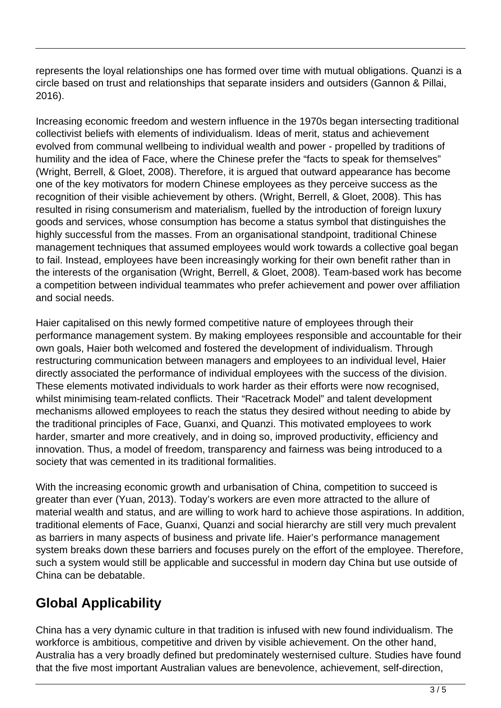represents the loyal relationships one has formed over time with mutual obligations. Quanzi is a circle based on trust and relationships that separate insiders and outsiders (Gannon & Pillai, 2016).

Increasing economic freedom and western influence in the 1970s began intersecting traditional collectivist beliefs with elements of individualism. Ideas of merit, status and achievement evolved from communal wellbeing to individual wealth and power - propelled by traditions of humility and the idea of Face, where the Chinese prefer the "facts to speak for themselves" (Wright, Berrell, & Gloet, 2008). Therefore, it is argued that outward appearance has become one of the key motivators for modern Chinese employees as they perceive success as the recognition of their visible achievement by others. (Wright, Berrell, & Gloet, 2008). This has resulted in rising consumerism and materialism, fuelled by the introduction of foreign luxury goods and services, whose consumption has become a status symbol that distinguishes the highly successful from the masses. From an organisational standpoint, traditional Chinese management techniques that assumed employees would work towards a collective goal began to fail. Instead, employees have been increasingly working for their own benefit rather than in the interests of the organisation (Wright, Berrell, & Gloet, 2008). Team-based work has become a competition between individual teammates who prefer achievement and power over affiliation and social needs.

Haier capitalised on this newly formed competitive nature of employees through their performance management system. By making employees responsible and accountable for their own goals, Haier both welcomed and fostered the development of individualism. Through restructuring communication between managers and employees to an individual level, Haier directly associated the performance of individual employees with the success of the division. These elements motivated individuals to work harder as their efforts were now recognised, whilst minimising team-related conflicts. Their "Racetrack Model" and talent development mechanisms allowed employees to reach the status they desired without needing to abide by the traditional principles of Face, Guanxi, and Quanzi. This motivated employees to work harder, smarter and more creatively, and in doing so, improved productivity, efficiency and innovation. Thus, a model of freedom, transparency and fairness was being introduced to a society that was cemented in its traditional formalities.

With the increasing economic growth and urbanisation of China, competition to succeed is greater than ever (Yuan, 2013). Today's workers are even more attracted to the allure of material wealth and status, and are willing to work hard to achieve those aspirations. In addition, traditional elements of Face, Guanxi, Quanzi and social hierarchy are still very much prevalent as barriers in many aspects of business and private life. Haier's performance management system breaks down these barriers and focuses purely on the effort of the employee. Therefore, such a system would still be applicable and successful in modern day China but use outside of China can be debatable.

## **Global Applicability**

China has a very dynamic culture in that tradition is infused with new found individualism. The workforce is ambitious, competitive and driven by visible achievement. On the other hand, Australia has a very broadly defined but predominately westernised culture. Studies have found that the five most important Australian values are benevolence, achievement, self-direction,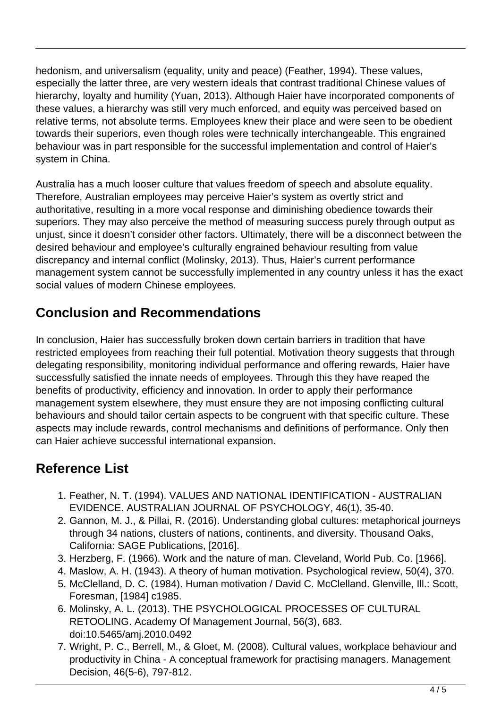hedonism, and universalism (equality, unity and peace) (Feather, 1994). These values, especially the latter three, are very western ideals that contrast traditional Chinese values of hierarchy, loyalty and humility (Yuan, 2013). Although Haier have incorporated components of these values, a hierarchy was still very much enforced, and equity was perceived based on relative terms, not absolute terms. Employees knew their place and were seen to be obedient towards their superiors, even though roles were technically interchangeable. This engrained behaviour was in part responsible for the successful implementation and control of Haier's system in China.

Australia has a much looser culture that values freedom of speech and absolute equality. Therefore, Australian employees may perceive Haier's system as overtly strict and authoritative, resulting in a more vocal response and diminishing obedience towards their superiors. They may also perceive the method of measuring success purely through output as unjust, since it doesn't consider other factors. Ultimately, there will be a disconnect between the desired behaviour and employee's culturally engrained behaviour resulting from value discrepancy and internal conflict (Molinsky, 2013). Thus, Haier's current performance management system cannot be successfully implemented in any country unless it has the exact social values of modern Chinese employees.

## **Conclusion and Recommendations**

In conclusion, Haier has successfully broken down certain barriers in tradition that have restricted employees from reaching their full potential. Motivation theory suggests that through delegating responsibility, monitoring individual performance and offering rewards, Haier have successfully satisfied the innate needs of employees. Through this they have reaped the benefits of productivity, efficiency and innovation. In order to apply their performance management system elsewhere, they must ensure they are not imposing conflicting cultural behaviours and should tailor certain aspects to be congruent with that specific culture. These aspects may include rewards, control mechanisms and definitions of performance. Only then can Haier achieve successful international expansion.

## **Reference List**

- 1. Feather, N. T. (1994). VALUES AND NATIONAL IDENTIFICATION AUSTRALIAN EVIDENCE. AUSTRALIAN JOURNAL OF PSYCHOLOGY, 46(1), 35-40.
- 2. Gannon, M. J., & Pillai, R. (2016). Understanding global cultures: metaphorical journeys through 34 nations, clusters of nations, continents, and diversity. Thousand Oaks, California: SAGE Publications, [2016].
- 3. Herzberg, F. (1966). Work and the nature of man. Cleveland, World Pub. Co. [1966].
- 4. Maslow, A. H. (1943). A theory of human motivation. Psychological review, 50(4), 370.
- 5. McClelland, D. C. (1984). Human motivation / David C. McClelland. Glenville, Ill.: Scott, Foresman, [1984] c1985.
- 6. Molinsky, A. L. (2013). THE PSYCHOLOGICAL PROCESSES OF CULTURAL RETOOLING. Academy Of Management Journal, 56(3), 683. doi:10.5465/amj.2010.0492
- 7. Wright, P. C., Berrell, M., & Gloet, M. (2008). Cultural values, workplace behaviour and productivity in China - A conceptual framework for practising managers. Management Decision, 46(5-6), 797-812.